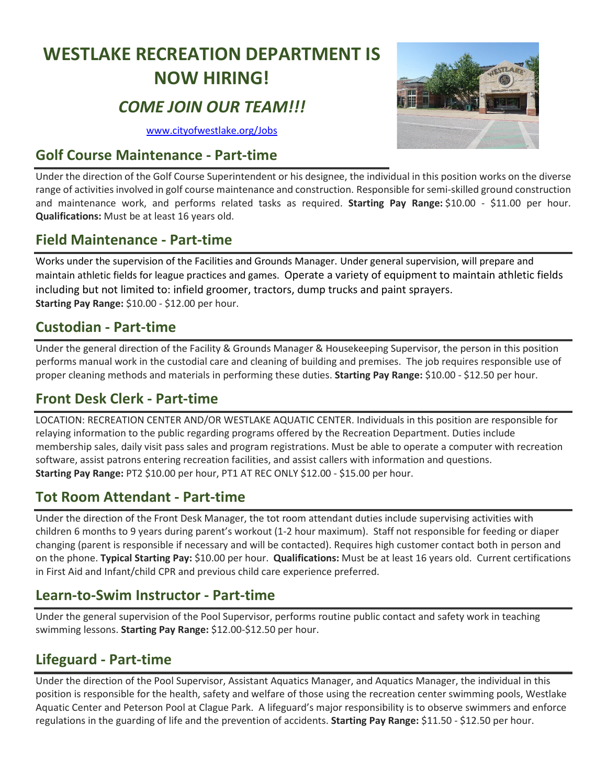# **WESTLAKE RECREATION DEPARTMENT IS NOW HIRING!**

# *COME JOIN OUR TEAM!!!*

[www.cityofwestlake.org/Jobs](https://www.cityofwestlake.org/Jobs.aspx)

#### **Golf Course Maintenance - Part-time**

Under the direction of the Golf Course Superintendent or his designee, the individual in this position works on the diverse range of activities involved in golf course maintenance and construction. Responsible forsemi-skilled ground construction and maintenance work, and performs related tasks as required. **Starting Pay Range:** \$10.00 - \$11.00 per hour. **Qualifications:** Must be at least 16 years old.

#### **Field Maintenance - Part-time**

Works under the supervision of the Facilities and Grounds Manager. Under general supervision, will prepare and maintain athletic fields for league practices and games. Operate a variety of equipment to maintain athletic fields including but not limited to: infield groomer, tractors, dump trucks and paint sprayers. **Starting Pay Range:** \$10.00 - \$12.00 per hour.

#### **Custodian - Part-time**

Under the general direction of the Facility & Grounds Manager & Housekeeping Supervisor, the person in this position performs manual work in the custodial care and cleaning of building and premises. The job requires responsible use of proper cleaning methods and materials in performing these duties. **Starting Pay Range:** \$10.00 - \$12.50 per hour.

# **Front Desk Clerk - Part-time**

LOCATION: RECREATION CENTER AND/OR WESTLAKE AQUATIC CENTER. Individuals in this position are responsible for relaying information to the public regarding programs offered by the Recreation Department. Duties include membership sales, daily visit pass sales and program registrations. Must be able to operate a computer with recreation software, assist patrons entering recreation facilities, and assist callers with information and questions. **Starting Pay Range:** PT2 \$10.00 per hour, PT1 AT REC ONLY \$12.00 - \$15.00 per hour.

### **Tot Room Attendant - Part-time**

Under the direction of the Front Desk Manager, the tot room attendant duties include supervising activities with children 6 months to 9 years during parent's workout (1-2 hour maximum). Staff not responsible for feeding or diaper changing (parent is responsible if necessary and will be contacted). Requires high customer contact both in person and on the phone. **Typical Starting Pay:** \$10.00 per hour. **Qualifications:** Must be at least 16 years old. Current certifications in First Aid and Infant/child CPR and previous child care experience preferred.

### **Learn-to-Swim Instructor - Part-time**

Under the general supervision of the Pool Supervisor, performs routine public contact and safety work in teaching swimming lessons. **Starting Pay Range:** \$12.00-\$12.50 per hour.

# **Lifeguard - Part-time**

Under the direction of the Pool Supervisor, Assistant Aquatics Manager, and Aquatics Manager, the individual in this position is responsible for the health, safety and welfare of those using the recreation center swimming pools, Westlake Aquatic Center and Peterson Pool at Clague Park. A lifeguard's major responsibility is to observe swimmers and enforce regulations in the guarding of life and the prevention of accidents. **Starting Pay Range:** \$11.50 - \$12.50 per hour.